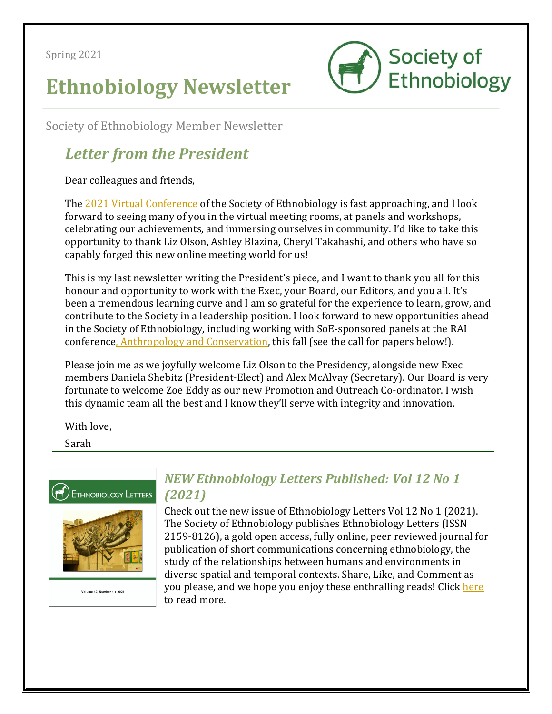Spring 2021

# **Ethnobiology Newsletter**



Society of Ethnobiology Member Newsletter

## *Letter from the President*

Dear colleagues and friends,

The 2021 Virtual Conference of the Society of Ethnobiology is fast approaching, and I look forward to seeing many of you in the virtual meeting rooms, at panels and workshops, celebrating our achievements, and immersing ourselves in community. I'd like to take this opportunity to thank Liz Olson, Ashley Blazina, Cheryl Takahashi, and others who have so capably forged this new online meeting world for us!

This is my last newsletter writing the President's piece, and I want to thank you all for this honour and opportunity to work with the Exec, your Board, our Editors, and you all. It's been a tremendous learning curve and I am so grateful for the experience to learn, grow, and contribute to the Society in a leadership position. I look forward to new opportunities ahead in the Society of Ethnobiology, including working with SoE-sponsored panels at the RAI conference, Anthropology and Conservation, this fall (see the call for papers below!).

Please join me as we joyfully welcome Liz Olson to the Presidency, alongside new Exec members Daniela Shebitz (President-Elect) and Alex McAlvay (Secretary). Our Board is very fortunate to welcome Zoë Eddy as our new Promotion and Outreach Co-ordinator. I wish this dynamic team all the best and I know they'll serve with integrity and innovation.

With love.

Sarah





Volume 12, Number 1 . 2021

### *NEW Ethnobiology Letters Published: Vol 12 No 1 (2021)*

Check out the new issue of Ethnobiology Letters Vol 12 No 1 (2021). The Society of Ethnobiology publishes Ethnobiology Letters (ISSN 2159-8126), a gold open access, fully online, peer reviewed journal for publication of short communications concerning ethnobiology, the study of the relationships between humans and environments in diverse spatial and temporal contexts. Share, Like, and Comment as you please, and we hope you enjoy these enthralling reads! Click here to read more.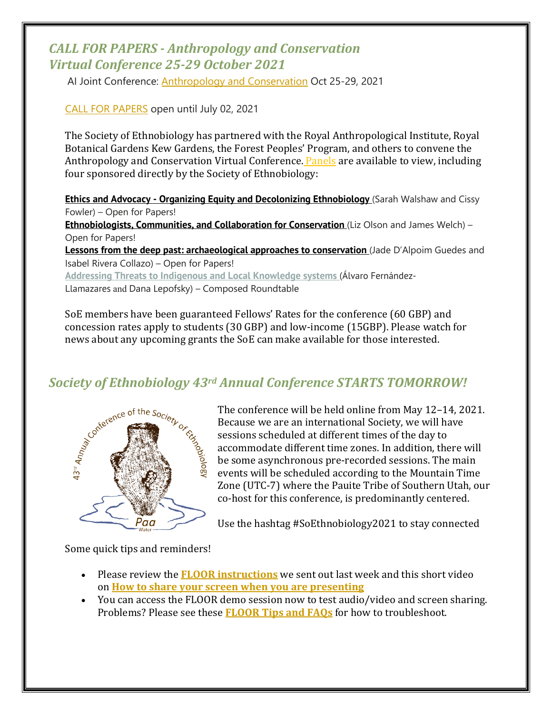#### *CALL FOR PAPERS - Anthropology and Conservation Virtual Conference 25-29 October 2021*

AI Joint Conference: Anthropology and Conservation Oct 25-29, 2021

CALL FOR PAPERS open until July 02, 2021

The Society of Ethnobiology has partnered with the Royal Anthropological Institute, Royal Botanical Gardens Kew Gardens, the Forest Peoples' Program, and others to convene the Anthropology and Conservation Virtual Conference. Panels are available to view, including four sponsored directly by the Society of Ethnobiology:

**Ethics and Advocacy - Organizing Equity and Decolonizing Ethnobiology** (Sarah Walshaw and Cissy Fowler) – Open for Papers!

**Ethnobiologists, Communities, and Collaboration for Conservation** (Liz Olson and James Welch) – Open for Papers!

**Lessons from the deep past: archaeological approaches to conservation** (Jade D'Alpoim Guedes and Isabel Rivera Collazo) – Open for Papers!

**Addressing Threats to Indigenous and Local Knowledge systems** (Álvaro Fernández-Llamazares and Dana Lepofsky) – Composed Roundtable

SoE members have been guaranteed Fellows' Rates for the conference (60 GBP) and concession rates apply to students (30 GBP) and low-income (15GBP). Please watch for news about any upcoming grants the SoE can make available for those interested.



**Society of Ethnobiology 43rd Annual Conference STARTS TOMORROW!**<br>
The conference will be held online from May 12–14, 20<br>
Because we are an international Society, we will be<br>
sessions scheduled at different time<br>  $\frac{1}{2}$ The conference will be held online from May 12-14, 2021. Because we are an international Society, we will have sessions scheduled at different times of the day to accommodate different time zones. In addition, there will be some asynchronous pre-recorded sessions. The main events will be scheduled according to the Mountain Time Zone (UTC-7) where the Pauite Tribe of Southern Utah, our co-host for this conference, is predominantly centered.

Use the hashtag #SoEthnobiology2021 to stay connected

Some quick tips and reminders!

- Please review the **FLOOR instructions** we sent out last week and this short video on **How to share your screen when you are presenting**
- You can access the FLOOR demo session now to test audio/video and screen sharing. Problems? Please see these **FLOOR Tips and FAQs** for how to troubleshoot.